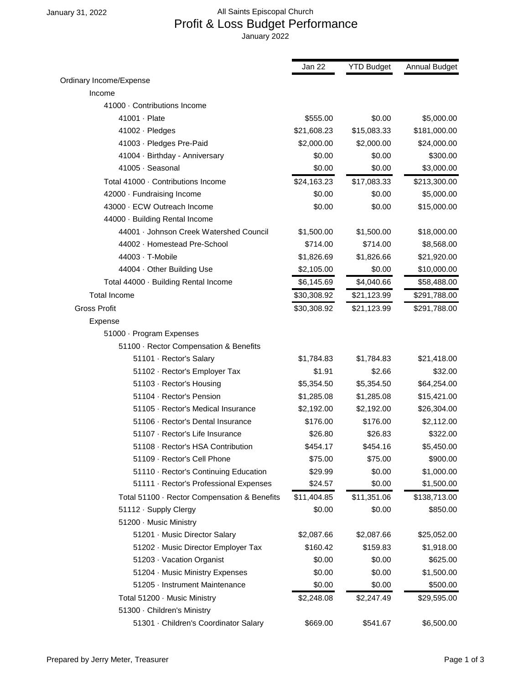## January 31, 2022 **All Saints Episcopal Church**  Profit & Loss Budget Performance January 2022

|                                              | Jan 22      | <b>YTD Budget</b> | <b>Annual Budget</b> |
|----------------------------------------------|-------------|-------------------|----------------------|
| Ordinary Income/Expense                      |             |                   |                      |
| Income                                       |             |                   |                      |
| 41000 · Contributions Income                 |             |                   |                      |
| 41001 · Plate                                | \$555.00    | \$0.00            | \$5,000.00           |
| 41002 · Pledges                              | \$21,608.23 | \$15,083.33       | \$181,000.00         |
| 41003 · Pledges Pre-Paid                     | \$2,000.00  | \$2,000.00        | \$24,000.00          |
| 41004 · Birthday - Anniversary               | \$0.00      | \$0.00            | \$300.00             |
| 41005 · Seasonal                             | \$0.00      | \$0.00            | \$3,000.00           |
| Total 41000 · Contributions Income           | \$24,163.23 | \$17,083.33       | \$213,300.00         |
| 42000 · Fundraising Income                   | \$0.00      | \$0.00            | \$5,000.00           |
| 43000 · ECW Outreach Income                  | \$0.00      | \$0.00            | \$15,000.00          |
| 44000 · Building Rental Income               |             |                   |                      |
| 44001 · Johnson Creek Watershed Council      | \$1,500.00  | \$1,500.00        | \$18,000.00          |
| 44002 · Homestead Pre-School                 | \$714.00    | \$714.00          | \$8,568.00           |
| 44003 · T-Mobile                             | \$1,826.69  | \$1,826.66        | \$21,920.00          |
| 44004 · Other Building Use                   | \$2,105.00  | \$0.00            | \$10,000.00          |
| Total 44000 · Building Rental Income         | \$6,145.69  | \$4,040.66        | \$58,488.00          |
| <b>Total Income</b>                          | \$30,308.92 | \$21,123.99       | \$291,788.00         |
| <b>Gross Profit</b>                          | \$30,308.92 | \$21,123.99       | \$291,788.00         |
| Expense                                      |             |                   |                      |
| 51000 · Program Expenses                     |             |                   |                      |
| 51100 · Rector Compensation & Benefits       |             |                   |                      |
| 51101 · Rector's Salary                      | \$1,784.83  | \$1,784.83        | \$21,418.00          |
| 51102 · Rector's Employer Tax                | \$1.91      | \$2.66            | \$32.00              |
| 51103 · Rector's Housing                     | \$5,354.50  | \$5,354.50        | \$64,254.00          |
| 51104 · Rector's Pension                     | \$1,285.08  | \$1,285.08        | \$15,421.00          |
| 51105 · Rector's Medical Insurance           | \$2,192.00  | \$2,192.00        | \$26,304.00          |
| 51106 · Rector's Dental Insurance            | \$176.00    | \$176.00          | \$2,112.00           |
| 51107 · Rector's Life Insurance              | \$26.80     | \$26.83           | \$322.00             |
| 51108 · Rector's HSA Contribution            | \$454.17    | \$454.16          | \$5,450.00           |
| 51109 · Rector's Cell Phone                  | \$75.00     | \$75.00           | \$900.00             |
| 51110 · Rector's Continuing Education        | \$29.99     | \$0.00            | \$1,000.00           |
| 51111 · Rector's Professional Expenses       | \$24.57     | \$0.00            | \$1,500.00           |
| Total 51100 · Rector Compensation & Benefits | \$11,404.85 | \$11,351.06       | \$138,713.00         |
| 51112 · Supply Clergy                        | \$0.00      | \$0.00            | \$850.00             |
| 51200 · Music Ministry                       |             |                   |                      |
| 51201 · Music Director Salary                | \$2,087.66  | \$2,087.66        | \$25,052.00          |
| 51202 · Music Director Employer Tax          | \$160.42    | \$159.83          | \$1,918.00           |
| 51203 · Vacation Organist                    | \$0.00      | \$0.00            | \$625.00             |
| 51204 · Music Ministry Expenses              | \$0.00      | \$0.00            | \$1,500.00           |
| 51205 · Instrument Maintenance               | \$0.00      | \$0.00            | \$500.00             |
| Total 51200 · Music Ministry                 | \$2,248.08  | \$2,247.49        | \$29,595.00          |
| 51300 · Children's Ministry                  |             |                   |                      |
| 51301 · Children's Coordinator Salary        | \$669.00    | \$541.67          | \$6,500.00           |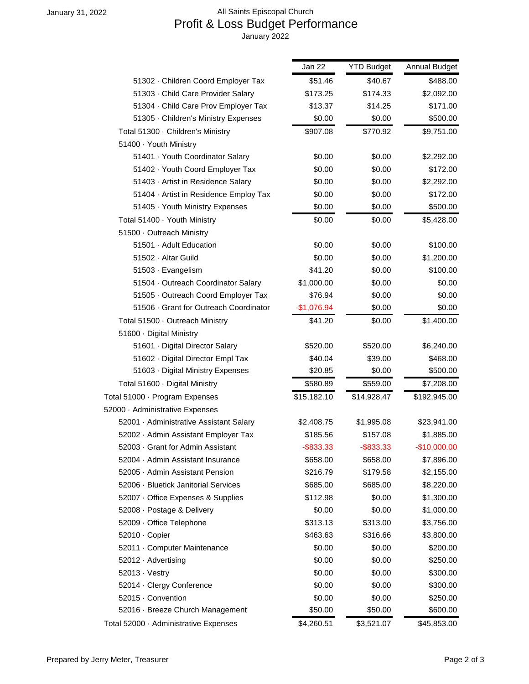## January 31, 2022 **All Saints Episcopal Church**  Profit & Loss Budget Performance January 2022

|                                         | Jan 22       | <b>YTD Budget</b> | Annual Budget |
|-----------------------------------------|--------------|-------------------|---------------|
| 51302 · Children Coord Employer Tax     | \$51.46      | \$40.67           | \$488.00      |
| 51303 · Child Care Provider Salary      | \$173.25     | \$174.33          | \$2,092.00    |
| 51304 · Child Care Prov Employer Tax    | \$13.37      | \$14.25           | \$171.00      |
| 51305 · Children's Ministry Expenses    | \$0.00       | \$0.00            | \$500.00      |
| Total 51300 · Children's Ministry       | \$907.08     | \$770.92          | \$9,751.00    |
| 51400 · Youth Ministry                  |              |                   |               |
| 51401 · Youth Coordinator Salary        | \$0.00       | \$0.00            | \$2,292.00    |
| 51402 · Youth Coord Employer Tax        | \$0.00       | \$0.00            | \$172.00      |
| 51403 · Artist in Residence Salary      | \$0.00       | \$0.00            | \$2,292.00    |
| 51404 · Artist in Residence Employ Tax  | \$0.00       | \$0.00            | \$172.00      |
| 51405 · Youth Ministry Expenses         | \$0.00       | \$0.00            | \$500.00      |
| Total 51400 · Youth Ministry            | \$0.00       | \$0.00            | \$5,428.00    |
| 51500 · Outreach Ministry               |              |                   |               |
| 51501 · Adult Education                 | \$0.00       | \$0.00            | \$100.00      |
| 51502 · Altar Guild                     | \$0.00       | \$0.00            | \$1,200.00    |
| 51503 · Evangelism                      | \$41.20      | \$0.00            | \$100.00      |
| 51504 · Outreach Coordinator Salary     | \$1,000.00   | \$0.00            | \$0.00        |
| 51505 · Outreach Coord Employer Tax     | \$76.94      | \$0.00            | \$0.00        |
| 51506 · Grant for Outreach Coordinator  | $-$1,076.94$ | \$0.00            | \$0.00        |
| Total 51500 · Outreach Ministry         | \$41.20      | \$0.00            | \$1,400.00    |
| 51600 · Digital Ministry                |              |                   |               |
| 51601 · Digital Director Salary         | \$520.00     | \$520.00          | \$6,240.00    |
| 51602 · Digital Director Empl Tax       | \$40.04      | \$39.00           | \$468.00      |
| 51603 · Digital Ministry Expenses       | \$20.85      | \$0.00            | \$500.00      |
| Total 51600 · Digital Ministry          | \$580.89     | \$559.00          | \$7,208.00    |
| Total 51000 · Program Expenses          | \$15,182.10  | \$14,928.47       | \$192,945.00  |
| 52000 · Administrative Expenses         |              |                   |               |
| 52001 · Administrative Assistant Salary | \$2,408.75   | \$1,995.08        | \$23,941.00   |
| 52002 · Admin Assistant Employer Tax    | \$185.56     | \$157.08          | \$1,885.00    |
| 52003 Grant for Admin Assistant         | $-$ \$833.33 | $-$ \$833.33      | $-$10,000.00$ |
| 52004 · Admin Assistant Insurance       | \$658.00     | \$658.00          | \$7,896.00    |
| 52005 · Admin Assistant Pension         | \$216.79     | \$179.58          | \$2,155.00    |
| 52006 · Bluetick Janitorial Services    | \$685.00     | \$685.00          | \$8,220.00    |
| 52007 · Office Expenses & Supplies      | \$112.98     | \$0.00            | \$1,300.00    |
| 52008 · Postage & Delivery              | \$0.00       | \$0.00            | \$1,000.00    |
| 52009 · Office Telephone                | \$313.13     | \$313.00          | \$3,756.00    |
| 52010 · Copier                          | \$463.63     | \$316.66          | \$3,800.00    |
| 52011 · Computer Maintenance            | \$0.00       | \$0.00            | \$200.00      |
| 52012 · Advertising                     | \$0.00       | \$0.00            | \$250.00      |
| $52013 \cdot V$ estry                   | \$0.00       | \$0.00            | \$300.00      |
| 52014 · Clergy Conference               | \$0.00       | \$0.00            | \$300.00      |
| 52015 · Convention                      | \$0.00       | \$0.00            | \$250.00      |
| 52016 · Breeze Church Management        | \$50.00      | \$50.00           | \$600.00      |
| Total 52000 · Administrative Expenses   | \$4,260.51   | \$3,521.07        | \$45,853.00   |